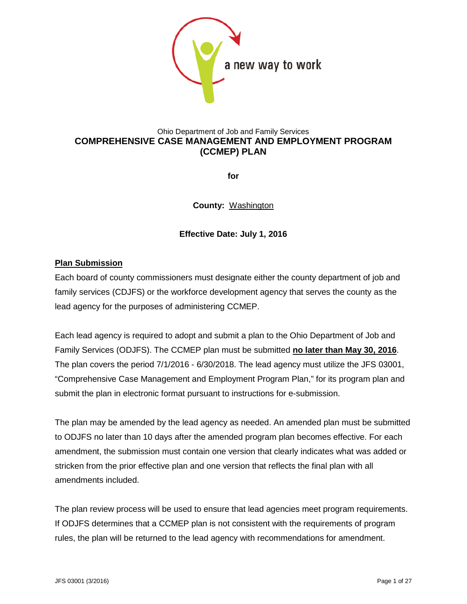

### Ohio Department of Job and Family Services **COMPREHENSIVE CASE MANAGEMENT AND EMPLOYMENT PROGRAM (CCMEP) PLAN**

**for**

**County:** Washington

### **Effective Date: July 1, 2016**

### **Plan Submission**

Each board of county commissioners must designate either the county department of job and family services (CDJFS) or the workforce development agency that serves the county as the lead agency for the purposes of administering CCMEP.

Each lead agency is required to adopt and submit a plan to the Ohio Department of Job and Family Services (ODJFS). The CCMEP plan must be submitted **no later than May 30, 2016**. The plan covers the period 7/1/2016 - 6/30/2018. The lead agency must utilize the JFS 03001, "Comprehensive Case Management and Employment Program Plan," for its program plan and submit the plan in electronic format pursuant to instructions for e-submission.

The plan may be amended by the lead agency as needed. An amended plan must be submitted to ODJFS no later than 10 days after the amended program plan becomes effective. For each amendment, the submission must contain one version that clearly indicates what was added or stricken from the prior effective plan and one version that reflects the final plan with all amendments included.

The plan review process will be used to ensure that lead agencies meet program requirements. If ODJFS determines that a CCMEP plan is not consistent with the requirements of program rules, the plan will be returned to the lead agency with recommendations for amendment.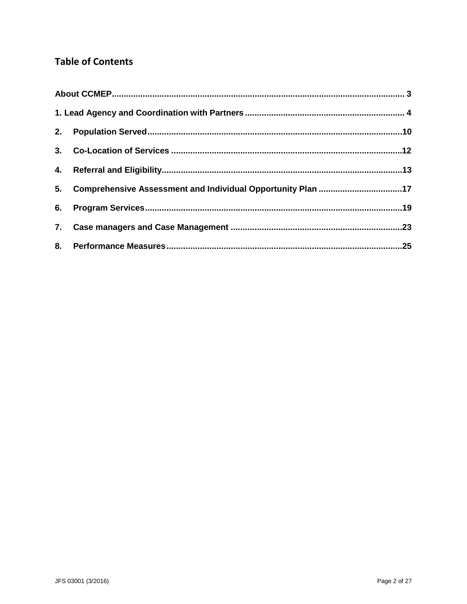# **Table of Contents**

| 5. Comprehensive Assessment and Individual Opportunity Plan 17 |  |
|----------------------------------------------------------------|--|
|                                                                |  |
|                                                                |  |
|                                                                |  |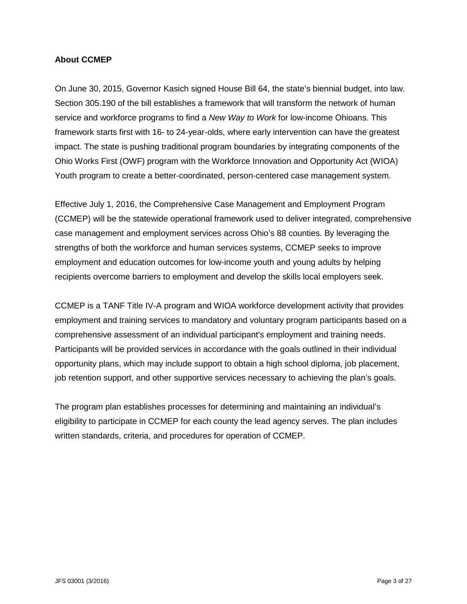#### <span id="page-2-0"></span>**About CCMEP**

On June 30, 2015, Governor Kasich signed House Bill 64, the state's biennial budget, into law. Section 305.190 of the bill establishes a framework that will transform the network of human service and workforce programs to find a *New Way to Work* for low-income Ohioans. This framework starts first with 16- to 24-year-olds, where early intervention can have the greatest impact. The state is pushing traditional program boundaries by integrating components of the Ohio Works First (OWF) program with the Workforce Innovation and Opportunity Act (WIOA) Youth program to create a better-coordinated, person-centered case management system.

Effective July 1, 2016, the Comprehensive Case Management and Employment Program (CCMEP) will be the statewide operational framework used to deliver integrated, comprehensive case management and employment services across Ohio's 88 counties. By leveraging the strengths of both the workforce and human services systems, CCMEP seeks to improve employment and education outcomes for low-income youth and young adults by helping recipients overcome barriers to employment and develop the skills local employers seek.

CCMEP is a TANF Title IV-A program and WIOA workforce development activity that provides employment and training services to mandatory and voluntary program participants based on a comprehensive assessment of an individual participant's employment and training needs. Participants will be provided services in accordance with the goals outlined in their individual opportunity plans, which may include support to obtain a high school diploma, job placement, job retention support, and other supportive services necessary to achieving the plan's goals.

The program plan establishes processes for determining and maintaining an individual's eligibility to participate in CCMEP for each county the lead agency serves. The plan includes written standards, criteria, and procedures for operation of CCMEP.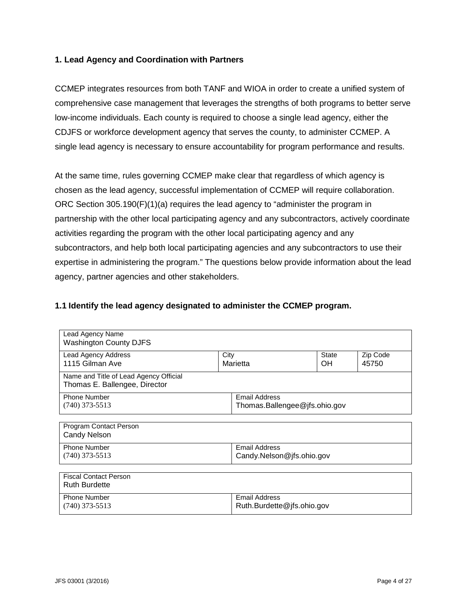### <span id="page-3-0"></span>**1. Lead Agency and Coordination with Partners**

CCMEP integrates resources from both TANF and WIOA in order to create a unified system of comprehensive case management that leverages the strengths of both programs to better serve low-income individuals. Each county is required to choose a single lead agency, either the CDJFS or workforce development agency that serves the county, to administer CCMEP. A single lead agency is necessary to ensure accountability for program performance and results.

At the same time, rules governing CCMEP make clear that regardless of which agency is chosen as the lead agency, successful implementation of CCMEP will require collaboration. ORC Section 305.190(F)(1)(a) requires the lead agency to "administer the program in partnership with the other local participating agency and any subcontractors, actively coordinate activities regarding the program with the other local participating agency and any subcontractors, and help both local participating agencies and any subcontractors to use their expertise in administering the program." The questions below provide information about the lead agency, partner agencies and other stakeholders.

### **1.1 Identify the lead agency designated to administer the CCMEP program.**

| Lead Agency Name<br><b>Washington County DJFS</b>                       |      |                                                       |                           |                   |
|-------------------------------------------------------------------------|------|-------------------------------------------------------|---------------------------|-------------------|
| Lead Agency Address<br>1115 Gilman Ave                                  | City | Marietta                                              | <b>State</b><br><b>OH</b> | Zip Code<br>45750 |
| Name and Title of Lead Agency Official<br>Thomas E. Ballengee, Director |      |                                                       |                           |                   |
| <b>Phone Number</b><br>$(740)$ 373-5513                                 |      | <b>Email Address</b><br>Thomas.Ballengee@jfs.ohio.gov |                           |                   |
| Program Contact Person<br><b>Candy Nelson</b>                           |      |                                                       |                           |                   |
| <b>Phone Number</b><br>$(740)$ 373-5513                                 |      | Email Address<br>Candy.Nelson@jfs.ohio.gov            |                           |                   |
| <b>Fiscal Contact Person</b><br><b>Ruth Burdette</b>                    |      |                                                       |                           |                   |
| <b>Phone Number</b><br>$(740)$ 373-5513                                 |      | <b>Email Address</b><br>Ruth.Burdette@jfs.ohio.gov    |                           |                   |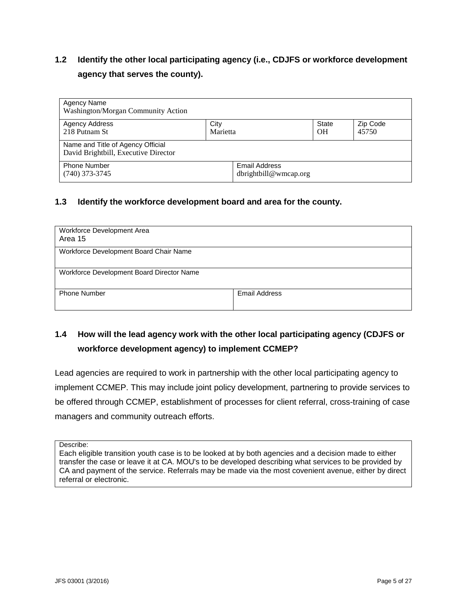# **1.2 Identify the other local participating agency (i.e., CDJFS or workforce development agency that serves the county).**

| Agency Name<br>Washington/Morgan Community Action                         |          |                                        |                |          |
|---------------------------------------------------------------------------|----------|----------------------------------------|----------------|----------|
| Agency Address                                                            | City     |                                        | State          | Zip Code |
| 218 Putnam St                                                             | Marietta |                                        | O <sub>H</sub> | 45750    |
| Name and Title of Agency Official<br>David Brightbill, Executive Director |          |                                        |                |          |
| <b>Phone Number</b><br>$(740)$ 373-3745                                   |          | Email Address<br>dbrightbill@wmean.org |                |          |

#### **1.3 Identify the workforce development board and area for the county.**

| Workforce Development Area<br>Area 15     |               |
|-------------------------------------------|---------------|
| Workforce Development Board Chair Name    |               |
| Workforce Development Board Director Name |               |
| <b>Phone Number</b>                       | Email Address |

# **1.4 How will the lead agency work with the other local participating agency (CDJFS or workforce development agency) to implement CCMEP?**

Lead agencies are required to work in partnership with the other local participating agency to implement CCMEP. This may include joint policy development, partnering to provide services to be offered through CCMEP, establishment of processes for client referral, cross-training of case managers and community outreach efforts.

Describe:

Each eligible transition youth case is to be looked at by both agencies and a decision made to either transfer the case or leave it at CA. MOU's to be developed describing what services to be provided by CA and payment of the service. Referrals may be made via the most covenient avenue, either by direct referral or electronic.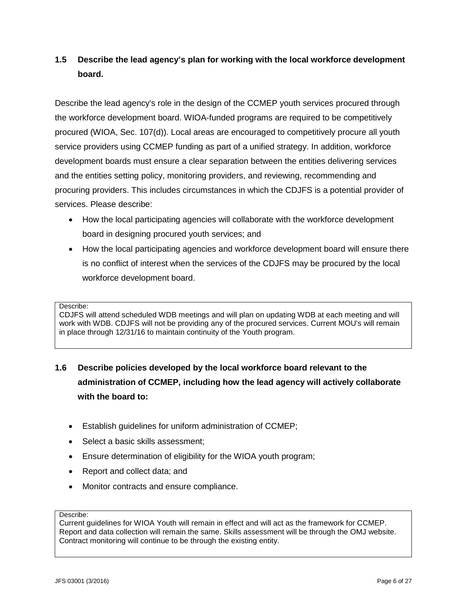# **1.5 Describe the lead agency's plan for working with the local workforce development board.**

Describe the lead agency's role in the design of the CCMEP youth services procured through the workforce development board. WIOA-funded programs are required to be competitively procured (WIOA, Sec. 107(d)). Local areas are encouraged to competitively procure all youth service providers using CCMEP funding as part of a unified strategy. In addition, workforce development boards must ensure a clear separation between the entities delivering services and the entities setting policy, monitoring providers, and reviewing, recommending and procuring providers. This includes circumstances in which the CDJFS is a potential provider of services. Please describe:

- How the local participating agencies will collaborate with the workforce development board in designing procured youth services; and
- How the local participating agencies and workforce development board will ensure there is no conflict of interest when the services of the CDJFS may be procured by the local workforce development board.

#### Describe:

CDJFS will attend scheduled WDB meetings and will plan on updating WDB at each meeting and will work with WDB. CDJFS will not be providing any of the procured services. Current MOU's will remain in place through 12/31/16 to maintain continuity of the Youth program.

# **1.6 Describe policies developed by the local workforce board relevant to the administration of CCMEP, including how the lead agency will actively collaborate with the board to:**

- Establish guidelines for uniform administration of CCMEP;
- Select a basic skills assessment;
- Ensure determination of eligibility for the WIOA youth program;
- Report and collect data; and
- Monitor contracts and ensure compliance.

#### Describe:

Current guidelines for WIOA Youth will remain in effect and will act as the framework for CCMEP. Report and data collection will remain the same. Skills assessment will be through the OMJ website. Contract monitoring will continue to be through the existing entity.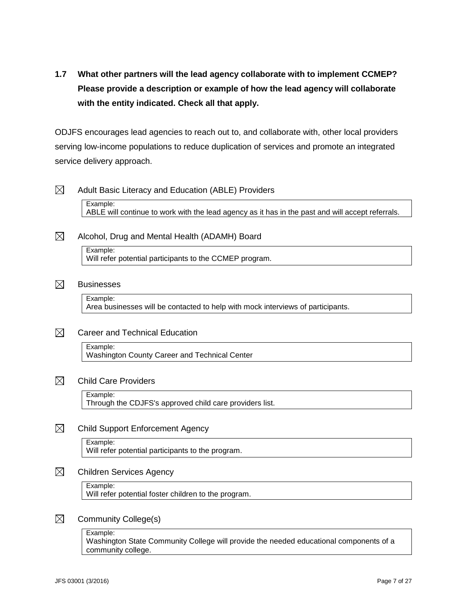# **1.7 What other partners will the lead agency collaborate with to implement CCMEP? Please provide a description or example of how the lead agency will collaborate with the entity indicated. Check all that apply.**

ODJFS encourages lead agencies to reach out to, and collaborate with, other local providers serving low-income populations to reduce duplication of services and promote an integrated service delivery approach.

 $\boxtimes$ Adult Basic Literacy and Education (ABLE) Providers Example: ABLE will continue to work with the lead agency as it has in the past and will accept referrals.

#### $\boxtimes$ Alcohol, Drug and Mental Health (ADAMH) Board

Example: Will refer potential participants to the CCMEP program.

#### ⊠ **Businesses**

Example: Area businesses will be contacted to help with mock interviews of participants.

#### $\boxtimes$ Career and Technical Education

Example: Washington County Career and Technical Center

#### $\boxtimes$ Child Care Providers

Example:

Through the CDJFS's approved child care providers list.

#### $\boxtimes$ Child Support Enforcement Agency

### Example:

Will refer potential participants to the program.

#### $\boxtimes$ Children Services Agency

Example:

Will refer potential foster children to the program.

#### $\boxtimes$ Community College(s)

Example:

Washington State Community College will provide the needed educational components of a community college.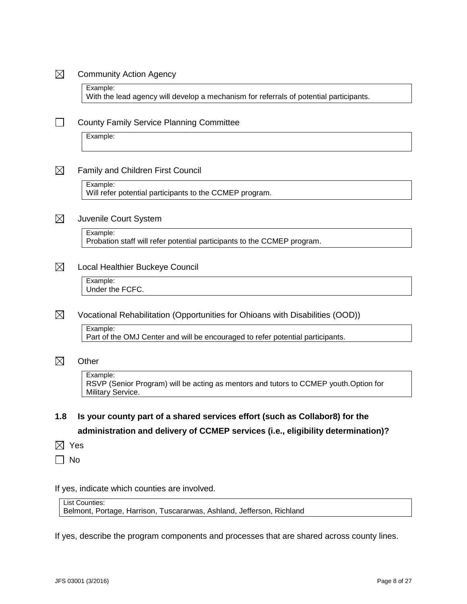#### $\boxtimes$ Community Action Agency

Example: With the lead agency will develop a mechanism for referrals of potential participants.

#### $\Box$ County Family Service Planning Committee

Example:

#### $\boxtimes$ Family and Children First Council

Example:

Will refer potential participants to the CCMEP program.

#### $\boxtimes$ Juvenile Court System

Example:

Probation staff will refer potential participants to the CCMEP program.

#### $\boxtimes$ Local Healthier Buckeye Council

Example: Under the FCFC.

#### $\boxtimes$ Vocational Rehabilitation (Opportunities for Ohioans with Disabilities (OOD))

Example:

Part of the OMJ Center and will be encouraged to refer potential participants.

#### $\boxtimes$ **Other**

Example: RSVP (Senior Program) will be acting as mentors and tutors to CCMEP youth.Option for Military Service.

# **1.8 Is your county part of a shared services effort (such as Collabor8) for the administration and delivery of CCMEP services (i.e., eligibility determination)?**

 $\boxtimes$  Yes

 $\Box$  No

If yes, indicate which counties are involved.

List Counties:

Belmont, Portage, Harrison, Tuscararwas, Ashland, Jefferson, Richland

If yes, describe the program components and processes that are shared across county lines.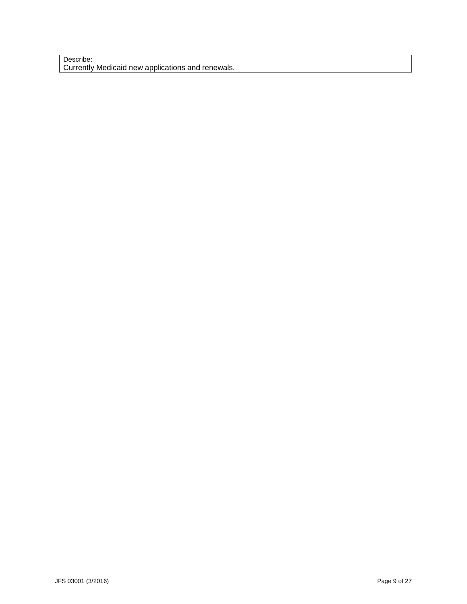#### Describe: Currently Medicaid new applications and renewals.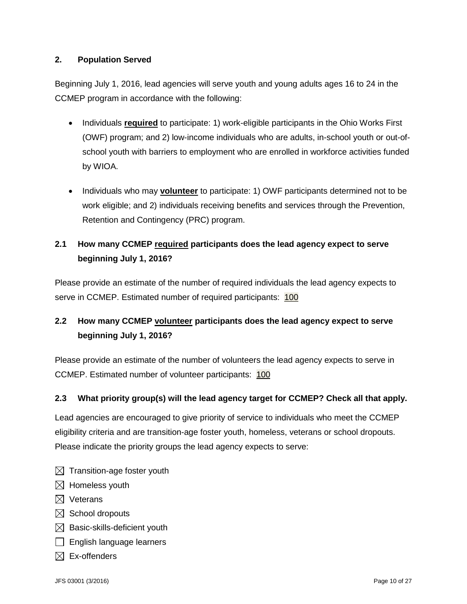### <span id="page-9-0"></span>**2. Population Served**

Beginning July 1, 2016, lead agencies will serve youth and young adults ages 16 to 24 in the CCMEP program in accordance with the following:

- Individuals **required** to participate: 1) work-eligible participants in the Ohio Works First (OWF) program; and 2) low-income individuals who are adults, in-school youth or out-ofschool youth with barriers to employment who are enrolled in workforce activities funded by WIOA.
- Individuals who may **volunteer** to participate: 1) OWF participants determined not to be work eligible; and 2) individuals receiving benefits and services through the Prevention, Retention and Contingency (PRC) program.

# **2.1 How many CCMEP required participants does the lead agency expect to serve beginning July 1, 2016?**

Please provide an estimate of the number of required individuals the lead agency expects to serve in CCMEP. Estimated number of required participants: 100

# **2.2 How many CCMEP volunteer participants does the lead agency expect to serve beginning July 1, 2016?**

Please provide an estimate of the number of volunteers the lead agency expects to serve in CCMEP. Estimated number of volunteer participants: 100

### **2.3 What priority group(s) will the lead agency target for CCMEP? Check all that apply.**

Lead agencies are encouraged to give priority of service to individuals who meet the CCMEP eligibility criteria and are transition-age foster youth, homeless, veterans or school dropouts. Please indicate the priority groups the lead agency expects to serve:

- $\boxtimes$  Transition-age foster youth
- $\boxtimes$  Homeless youth
- $\boxtimes$  Veterans
- $\boxtimes$  School dropouts
- $\boxtimes$  Basic-skills-deficient youth
- $\Box$  English language learners
- $\boxtimes$  Ex-offenders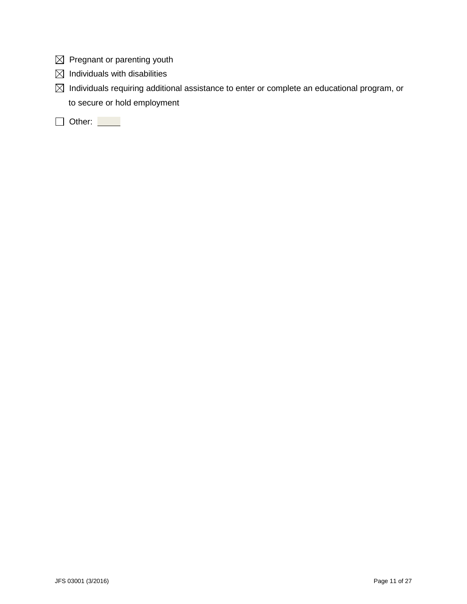- $\boxtimes$  Pregnant or parenting youth
- $\boxtimes$  Individuals with disabilities
- $\boxtimes$  Individuals requiring additional assistance to enter or complete an educational program, or to secure or hold employment

Other: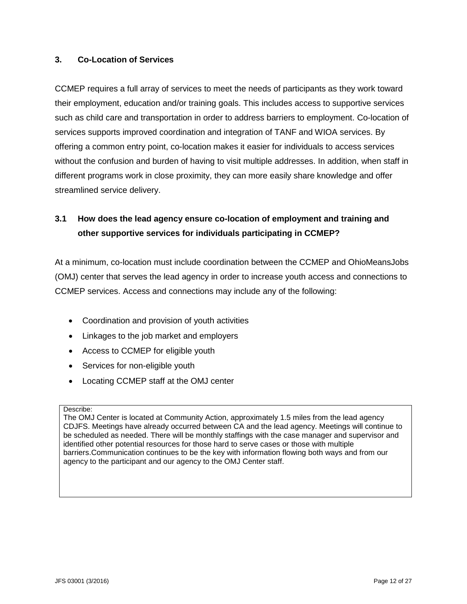### <span id="page-11-0"></span>**3. Co-Location of Services**

CCMEP requires a full array of services to meet the needs of participants as they work toward their employment, education and/or training goals. This includes access to supportive services such as child care and transportation in order to address barriers to employment. Co-location of services supports improved coordination and integration of TANF and WIOA services. By offering a common entry point, co-location makes it easier for individuals to access services without the confusion and burden of having to visit multiple addresses. In addition, when staff in different programs work in close proximity, they can more easily share knowledge and offer streamlined service delivery.

# **3.1 How does the lead agency ensure co-location of employment and training and other supportive services for individuals participating in CCMEP?**

At a minimum, co-location must include coordination between the CCMEP and OhioMeansJobs (OMJ) center that serves the lead agency in order to increase youth access and connections to CCMEP services. Access and connections may include any of the following:

- Coordination and provision of youth activities
- Linkages to the job market and employers
- Access to CCMEP for eligible youth
- Services for non-eligible youth
- Locating CCMEP staff at the OMJ center

Describe:

The OMJ Center is located at Community Action, approximately 1.5 miles from the lead agency CDJFS. Meetings have already occurred between CA and the lead agency. Meetings will continue to be scheduled as needed. There will be monthly staffings with the case manager and supervisor and identified other potential resources for those hard to serve cases or those with multiple barriers.Communication continues to be the key with information flowing both ways and from our agency to the participant and our agency to the OMJ Center staff.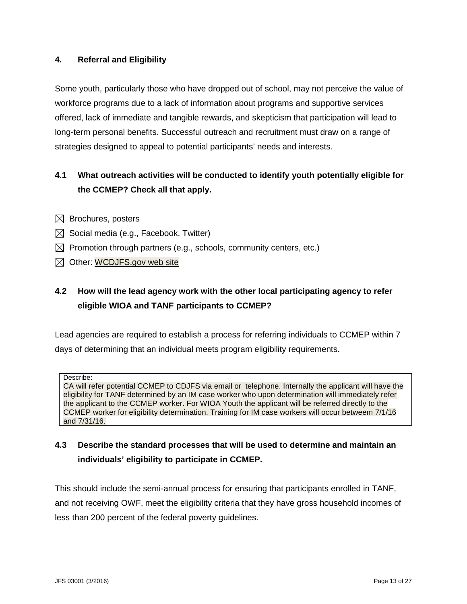### <span id="page-12-0"></span>**4. Referral and Eligibility**

Some youth, particularly those who have dropped out of school, may not perceive the value of workforce programs due to a lack of information about programs and supportive services offered, lack of immediate and tangible rewards, and skepticism that participation will lead to long-term personal benefits. Successful outreach and recruitment must draw on a range of strategies designed to appeal to potential participants' needs and interests.

## **4.1 What outreach activities will be conducted to identify youth potentially eligible for the CCMEP? Check all that apply.**

- $\boxtimes$  Brochures, posters
- $\boxtimes$  Social media (e.g., Facebook, Twitter)
- $\boxtimes$  Promotion through partners (e.g., schools, community centers, etc.)
- $\boxtimes$  Other: WCDJFS.gov web site

# **4.2 How will the lead agency work with the other local participating agency to refer eligible WIOA and TANF participants to CCMEP?**

Lead agencies are required to establish a process for referring individuals to CCMEP within 7 days of determining that an individual meets program eligibility requirements.

Describe:

CA will refer potential CCMEP to CDJFS via email or telephone. Internally the applicant will have the eligibility for TANF determined by an IM case worker who upon determination will immediately refer the applicant to the CCMEP worker. For WIOA Youth the applicant will be referred directly to the CCMEP worker for eligibility determination. Training for IM case workers will occur betweem 7/1/16 and 7/31/16.

### **4.3 Describe the standard processes that will be used to determine and maintain an individuals' eligibility to participate in CCMEP.**

This should include the semi-annual process for ensuring that participants enrolled in TANF, and not receiving OWF, meet the eligibility criteria that they have gross household incomes of less than 200 percent of the federal poverty guidelines.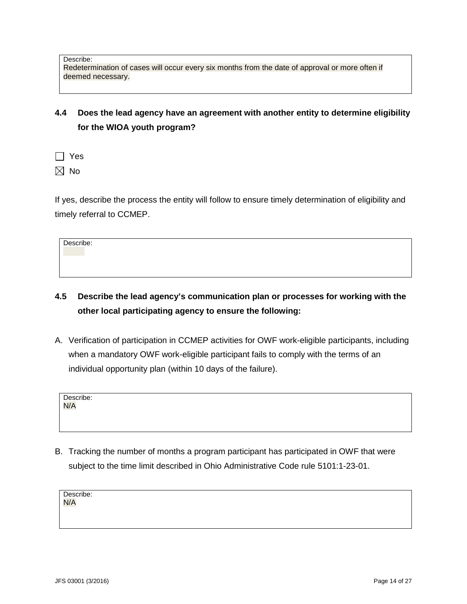Describe: Redetermination of cases will occur every six months from the date of approval or more often if deemed necessary.

**4.4 Does the lead agency have an agreement with another entity to determine eligibility for the WIOA youth program?**

 $\Box$  Yes

 $\boxtimes$  No

If yes, describe the process the entity will follow to ensure timely determination of eligibility and timely referral to CCMEP.

Describe:

- **4.5 Describe the lead agency's communication plan or processes for working with the other local participating agency to ensure the following:**
- A. Verification of participation in CCMEP activities for OWF work-eligible participants, including when a mandatory OWF work-eligible participant fails to comply with the terms of an individual opportunity plan (within 10 days of the failure).

| Describe: |  |  |  |
|-----------|--|--|--|
| N/A       |  |  |  |
|           |  |  |  |

B. Tracking the number of months a program participant has participated in OWF that were subject to the time limit described in Ohio Administrative Code rule 5101:1-23-01.

Describe:

N/A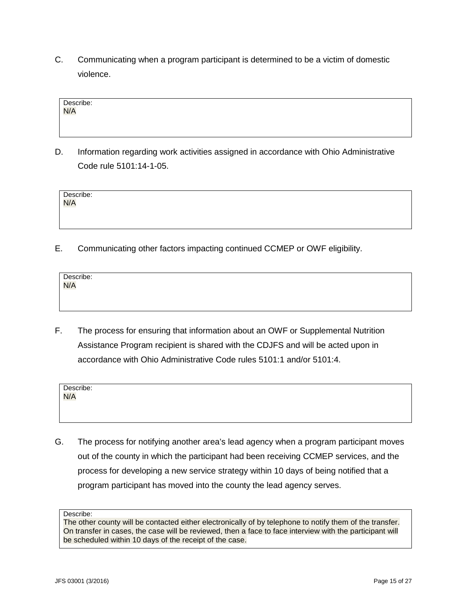C. Communicating when a program participant is determined to be a victim of domestic violence.

| Information regarding work activities assigned in accordance with Ohio Administrative |
|---------------------------------------------------------------------------------------|
| Code rule 5101:14-1-05.                                                               |

| Describe: |  |  |
|-----------|--|--|
| N/A       |  |  |
|           |  |  |

E. Communicating other factors impacting continued CCMEP or OWF eligibility.

| Describe:<br><mark>N/A</mark> |  |  |  |
|-------------------------------|--|--|--|
|                               |  |  |  |

F. The process for ensuring that information about an OWF or Supplemental Nutrition Assistance Program recipient is shared with the CDJFS and will be acted upon in accordance with Ohio Administrative Code rules 5101:1 and/or 5101:4.

| Describe:<br>N/A |  |  |  |
|------------------|--|--|--|
|                  |  |  |  |
|                  |  |  |  |
|                  |  |  |  |

G. The process for notifying another area's lead agency when a program participant moves out of the county in which the participant had been receiving CCMEP services, and the process for developing a new service strategy within 10 days of being notified that a program participant has moved into the county the lead agency serves.

Describe:

Describe: N/A

The other county will be contacted either electronically of by telephone to notify them of the transfer. On transfer in cases, the case will be reviewed, then a face to face interview with the participant will be scheduled within 10 days of the receipt of the case.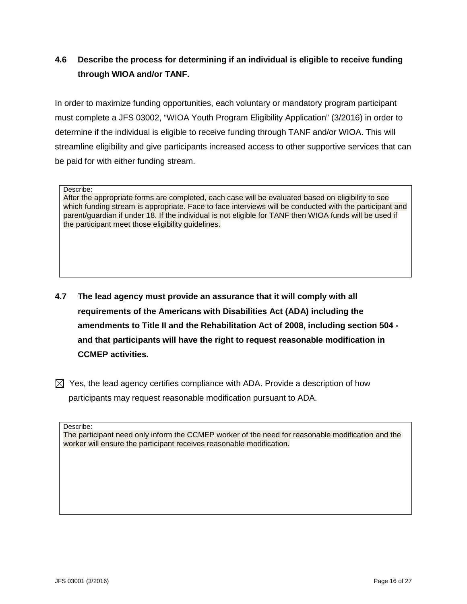# **4.6 Describe the process for determining if an individual is eligible to receive funding through WIOA and/or TANF.**

In order to maximize funding opportunities, each voluntary or mandatory program participant must complete a JFS 03002, "WIOA Youth Program Eligibility Application" (3/2016) in order to determine if the individual is eligible to receive funding through TANF and/or WIOA. This will streamline eligibility and give participants increased access to other supportive services that can be paid for with either funding stream.

Describe:

After the appropriate forms are completed, each case will be evaluated based on eligibility to see which funding stream is appropriate. Face to face interviews will be conducted with the participant and parent/guardian if under 18. If the individual is not eligible for TANF then WIOA funds will be used if the participant meet those eligibility guidelines.

- **4.7 The lead agency must provide an assurance that it will comply with all requirements of the Americans with Disabilities Act (ADA) including the amendments to Title II and the Rehabilitation Act of 2008, including section 504 and that participants will have the right to request reasonable modification in CCMEP activities.**
- $\boxtimes$  Yes, the lead agency certifies compliance with ADA. Provide a description of how participants may request reasonable modification pursuant to ADA.

Describe:

The participant need only inform the CCMEP worker of the need for reasonable modification and the worker will ensure the participant receives reasonable modification.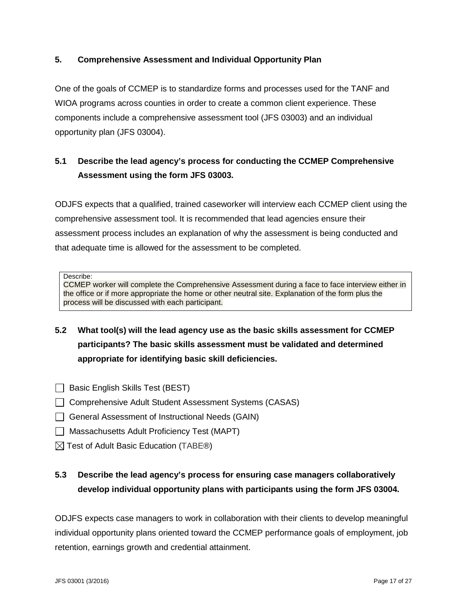### <span id="page-16-0"></span>**5. Comprehensive Assessment and Individual Opportunity Plan**

One of the goals of CCMEP is to standardize forms and processes used for the TANF and WIOA programs across counties in order to create a common client experience. These components include a comprehensive assessment tool (JFS 03003) and an individual opportunity plan (JFS 03004).

# **5.1 Describe the lead agency's process for conducting the CCMEP Comprehensive Assessment using the form JFS 03003.**

ODJFS expects that a qualified, trained caseworker will interview each CCMEP client using the comprehensive assessment tool. It is recommended that lead agencies ensure their assessment process includes an explanation of why the assessment is being conducted and that adequate time is allowed for the assessment to be completed.

Describe:

CCMEP worker will complete the Comprehensive Assessment during a face to face interview either in the office or if more appropriate the home or other neutral site. Explanation of the form plus the process will be discussed with each participant.

- **5.2 What tool(s) will the lead agency use as the basic skills assessment for CCMEP participants? The basic skills assessment must be validated and determined appropriate for identifying basic skill deficiencies.**
- $\Box$  Basic English Skills Test (BEST)
- □ Comprehensive Adult Student Assessment Systems (CASAS)
- General Assessment of Instructional Needs (GAIN)
- □ Massachusetts Adult Proficiency Test (MAPT)
- $\boxtimes$  Test of Adult Basic Education (TABE®)

# **5.3 Describe the lead agency's process for ensuring case managers collaboratively develop individual opportunity plans with participants using the form JFS 03004.**

ODJFS expects case managers to work in collaboration with their clients to develop meaningful individual opportunity plans oriented toward the CCMEP performance goals of employment, job retention, earnings growth and credential attainment.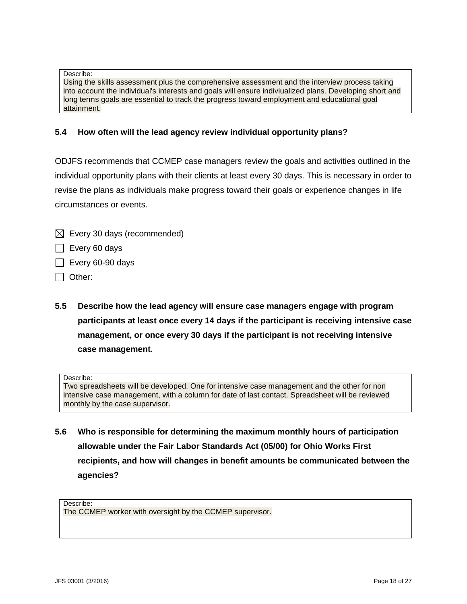Describe:

Using the skills assessment plus the comprehensive assessment and the interview process taking into account the individual's interests and goals will ensure indiviualized plans. Developing short and long terms goals are essential to track the progress toward employment and educational goal attainment.

### **5.4 How often will the lead agency review individual opportunity plans?**

ODJFS recommends that CCMEP case managers review the goals and activities outlined in the individual opportunity plans with their clients at least every 30 days. This is necessary in order to revise the plans as individuals make progress toward their goals or experience changes in life circumstances or events.

- $\boxtimes$  Every 30 days (recommended)
- $\Box$  Every 60 days
- $\Box$  Every 60-90 days
- $\Box$  Other:
- **5.5 Describe how the lead agency will ensure case managers engage with program participants at least once every 14 days if the participant is receiving intensive case management, or once every 30 days if the participant is not receiving intensive case management.**

#### Describe:

Two spreadsheets will be developed. One for intensive case management and the other for non intensive case management, with a column for date of last contact. Spreadsheet will be reviewed monthly by the case supervisor.

**5.6 Who is responsible for determining the maximum monthly hours of participation allowable under the Fair Labor Standards Act (05/00) for Ohio Works First recipients, and how will changes in benefit amounts be communicated between the agencies?**

Describe: The CCMEP worker with oversight by the CCMEP supervisor.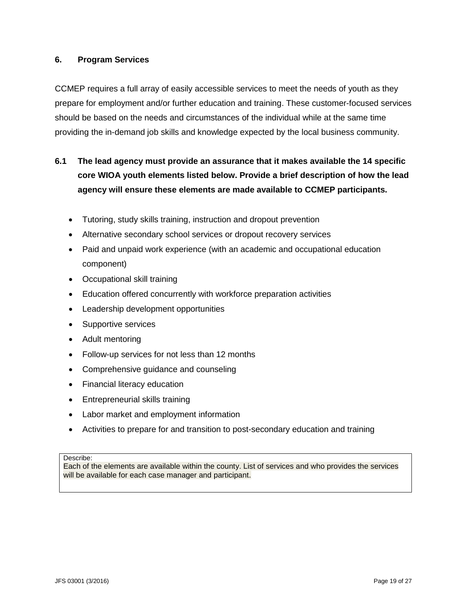### <span id="page-18-0"></span>**6. Program Services**

CCMEP requires a full array of easily accessible services to meet the needs of youth as they prepare for employment and/or further education and training. These customer-focused services should be based on the needs and circumstances of the individual while at the same time providing the in-demand job skills and knowledge expected by the local business community.

# **6.1 The lead agency must provide an assurance that it makes available the 14 specific core WIOA youth elements listed below. Provide a brief description of how the lead agency will ensure these elements are made available to CCMEP participants.**

- Tutoring, study skills training, instruction and dropout prevention
- Alternative secondary school services or dropout recovery services
- Paid and unpaid work experience (with an academic and occupational education component)
- Occupational skill training
- Education offered concurrently with workforce preparation activities
- Leadership development opportunities
- Supportive services
- Adult mentoring
- Follow-up services for not less than 12 months
- Comprehensive guidance and counseling
- Financial literacy education
- Entrepreneurial skills training
- Labor market and employment information
- Activities to prepare for and transition to post-secondary education and training

#### Describe:

Each of the elements are available within the county. List of services and who provides the services will be available for each case manager and participant.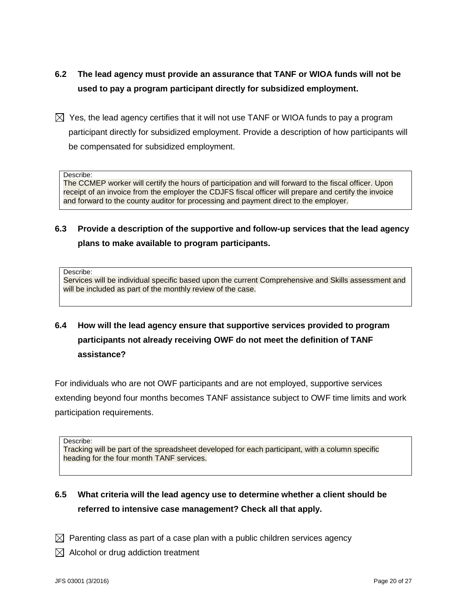- **6.2 The lead agency must provide an assurance that TANF or WIOA funds will not be used to pay a program participant directly for subsidized employment.**
- $\boxtimes$  Yes, the lead agency certifies that it will not use TANF or WIOA funds to pay a program participant directly for subsidized employment. Provide a description of how participants will be compensated for subsidized employment.

Describe:

The CCMEP worker will certify the hours of participation and will forward to the fiscal officer. Upon receipt of an invoice from the employer the CDJFS fiscal officer will prepare and certify the invoice and forward to the county auditor for processing and payment direct to the employer.

**6.3 Provide a description of the supportive and follow-up services that the lead agency plans to make available to program participants.**

Describe:

Services will be individual specific based upon the current Comprehensive and Skills assessment and will be included as part of the monthly review of the case.

**6.4 How will the lead agency ensure that supportive services provided to program participants not already receiving OWF do not meet the definition of TANF assistance?**

For individuals who are not OWF participants and are not employed, supportive services extending beyond four months becomes TANF assistance subject to OWF time limits and work participation requirements.

Describe:

Tracking will be part of the spreadsheet developed for each participant, with a column specific heading for the four month TANF services.

### **6.5 What criteria will the lead agency use to determine whether a client should be referred to intensive case management? Check all that apply.**

- $\boxtimes$  Parenting class as part of a case plan with a public children services agency
- $\boxtimes$  Alcohol or drug addiction treatment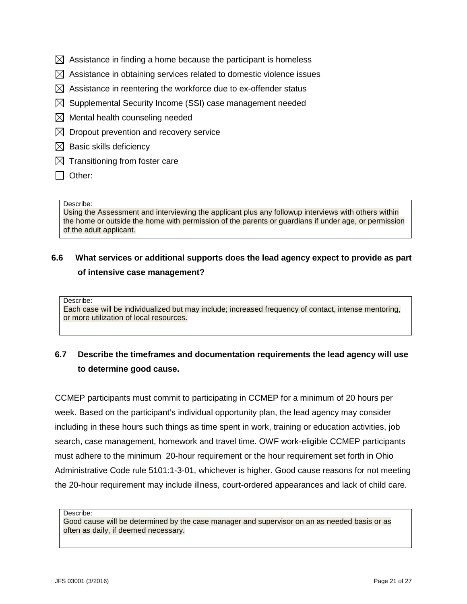- $\boxtimes$  Assistance in finding a home because the participant is homeless
- $\boxtimes$  Assistance in obtaining services related to domestic violence issues
- $\boxtimes$  Assistance in reentering the workforce due to ex-offender status
- $\boxtimes$  Supplemental Security Income (SSI) case management needed
- $\boxtimes$  Mental health counseling needed
- $\boxtimes$  Dropout prevention and recovery service
- $\boxtimes$  Basic skills deficiency
- $\boxtimes$  Transitioning from foster care
- $\Box$  Other:

Using the Assessment and interviewing the applicant plus any followup interviews with others within the home or outside the home with permission of the parents or guardians if under age, or permission of the adult applicant.

## **6.6 What services or additional supports does the lead agency expect to provide as part of intensive case management?**

Describe:

Each case will be individualized but may include; increased frequency of contact, intense mentoring, or more utilization of local resources.

# **6.7 Describe the timeframes and documentation requirements the lead agency will use to determine good cause.**

CCMEP participants must commit to participating in CCMEP for a minimum of 20 hours per week. Based on the participant's individual opportunity plan, the lead agency may consider including in these hours such things as time spent in work, training or education activities, job search, case management, homework and travel time. OWF work-eligible CCMEP participants must adhere to the minimum 20-hour requirement or the hour requirement set forth in Ohio Administrative Code rule 5101:1-3-01, whichever is higher. Good cause reasons for not meeting the 20-hour requirement may include illness, court-ordered appearances and lack of child care.

Describe:

Good cause will be determined by the case manager and supervisor on an as needed basis or as often as daily, if deemed necessary.

Describe: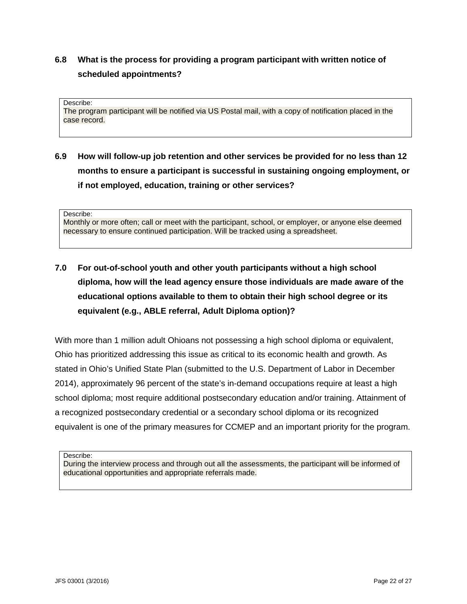# **6.8 What is the process for providing a program participant with written notice of scheduled appointments?**

Describe: The program participant will be notified via US Postal mail, with a copy of notification placed in the case record.

# **6.9 How will follow-up job retention and other services be provided for no less than 12 months to ensure a participant is successful in sustaining ongoing employment, or if not employed, education, training or other services?**

Describe:

Monthly or more often; call or meet with the participant, school, or employer, or anyone else deemed necessary to ensure continued participation. Will be tracked using a spreadsheet.

# **7.0 For out-of-school youth and other youth participants without a high school diploma, how will the lead agency ensure those individuals are made aware of the educational options available to them to obtain their high school degree or its equivalent (e.g., ABLE referral, Adult Diploma option)?**

With more than 1 million adult Ohioans not possessing a high school diploma or equivalent, Ohio has prioritized addressing this issue as critical to its economic health and growth. As stated in Ohio's Unified State Plan (submitted to the U.S. Department of Labor in December 2014), approximately 96 percent of the state's in-demand occupations require at least a high school diploma; most require additional postsecondary education and/or training. Attainment of a recognized postsecondary credential or a secondary school diploma or its recognized equivalent is one of the primary measures for CCMEP and an important priority for the program.

Describe:

During the interview process and through out all the assessments, the participant will be informed of educational opportunities and appropriate referrals made.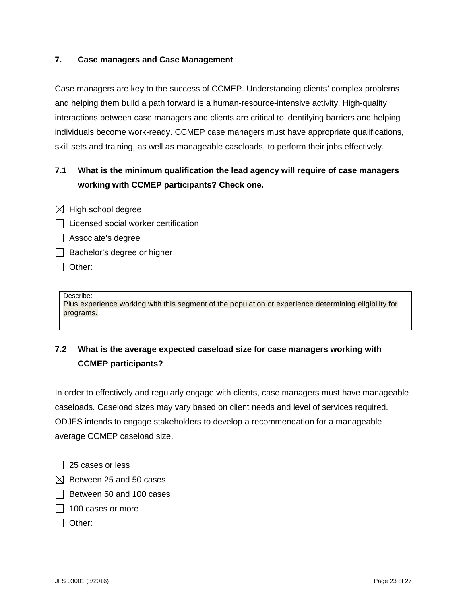### <span id="page-22-0"></span>**7. Case managers and Case Management**

Case managers are key to the success of CCMEP. Understanding clients' complex problems and helping them build a path forward is a human-resource-intensive activity. High-quality interactions between case managers and clients are critical to identifying barriers and helping individuals become work-ready. CCMEP case managers must have appropriate qualifications, skill sets and training, as well as manageable caseloads, to perform their jobs effectively.

# **7.1 What is the minimum qualification the lead agency will require of case managers working with CCMEP participants? Check one.**

- $\boxtimes$  High school degree
- $\Box$  Licensed social worker certification
- Associate's degree
- $\Box$  Bachelor's degree or higher
- $\Box$  Other:

#### Describe:

Plus experience working with this segment of the population or experience determining eligibility for programs.

# **7.2 What is the average expected caseload size for case managers working with CCMEP participants?**

In order to effectively and regularly engage with clients, case managers must have manageable caseloads. Caseload sizes may vary based on client needs and level of services required. ODJFS intends to engage stakeholders to develop a recommendation for a manageable average CCMEP caseload size.

- $\Box$  25 cases or less
- $\boxtimes$  Between 25 and 50 cases
- $\Box$  Between 50 and 100 cases
- $\Box$  100 cases or more
- $\Box$  Other: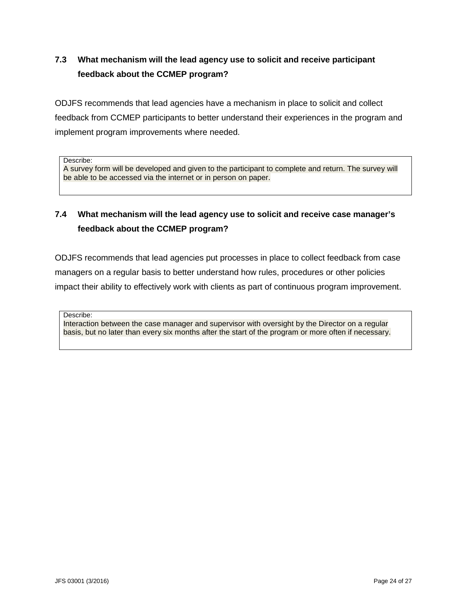# **7.3 What mechanism will the lead agency use to solicit and receive participant feedback about the CCMEP program?**

ODJFS recommends that lead agencies have a mechanism in place to solicit and collect feedback from CCMEP participants to better understand their experiences in the program and implement program improvements where needed.

Describe:

A survey form will be developed and given to the participant to complete and return. The survey will be able to be accessed via the internet or in person on paper.

# **7.4 What mechanism will the lead agency use to solicit and receive case manager's feedback about the CCMEP program?**

ODJFS recommends that lead agencies put processes in place to collect feedback from case managers on a regular basis to better understand how rules, procedures or other policies impact their ability to effectively work with clients as part of continuous program improvement.

Describe:

Interaction between the case manager and supervisor with oversight by the Director on a regular basis, but no later than every six months after the start of the program or more often if necessary.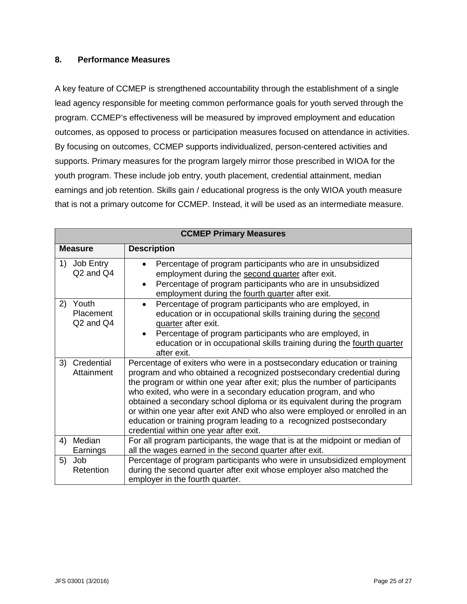#### <span id="page-24-0"></span>**8. Performance Measures**

A key feature of CCMEP is strengthened accountability through the establishment of a single lead agency responsible for meeting common performance goals for youth served through the program. CCMEP's effectiveness will be measured by improved employment and education outcomes, as opposed to process or participation measures focused on attendance in activities. By focusing on outcomes, CCMEP supports individualized, person-centered activities and supports. Primary measures for the program largely mirror those prescribed in WIOA for the youth program. These include job entry, youth placement, credential attainment, median earnings and job retention. Skills gain / educational progress is the only WIOA youth measure that is not a primary outcome for CCMEP. Instead, it will be used as an intermediate measure.

| <b>CCMEP Primary Measures</b>                        |                                                                                                                                                                                                                                                                                                                                                                                                                                                                                                                                                                             |  |  |  |  |
|------------------------------------------------------|-----------------------------------------------------------------------------------------------------------------------------------------------------------------------------------------------------------------------------------------------------------------------------------------------------------------------------------------------------------------------------------------------------------------------------------------------------------------------------------------------------------------------------------------------------------------------------|--|--|--|--|
| <b>Measure</b>                                       | <b>Description</b>                                                                                                                                                                                                                                                                                                                                                                                                                                                                                                                                                          |  |  |  |  |
| 1)<br>Job Entry<br>Q <sub>2</sub> and Q <sub>4</sub> | Percentage of program participants who are in unsubsidized<br>$\bullet$<br>employment during the second quarter after exit.<br>Percentage of program participants who are in unsubsidized<br>$\bullet$<br>employment during the fourth quarter after exit.                                                                                                                                                                                                                                                                                                                  |  |  |  |  |
| 2)<br>Youth<br>Placement<br>Q2 and Q4                | Percentage of program participants who are employed, in<br>$\bullet$<br>education or in occupational skills training during the second<br>quarter after exit.<br>Percentage of program participants who are employed, in<br>$\bullet$<br>education or in occupational skills training during the fourth quarter<br>after exit.                                                                                                                                                                                                                                              |  |  |  |  |
| Credential<br>3)<br>Attainment                       | Percentage of exiters who were in a postsecondary education or training<br>program and who obtained a recognized postsecondary credential during<br>the program or within one year after exit; plus the number of participants<br>who exited, who were in a secondary education program, and who<br>obtained a secondary school diploma or its equivalent during the program<br>or within one year after exit AND who also were employed or enrolled in an<br>education or training program leading to a recognized postsecondary<br>credential within one year after exit. |  |  |  |  |
| Median<br>4)<br>Earnings                             | For all program participants, the wage that is at the midpoint or median of<br>all the wages earned in the second quarter after exit.                                                                                                                                                                                                                                                                                                                                                                                                                                       |  |  |  |  |
| Job<br>5)<br>Retention                               | Percentage of program participants who were in unsubsidized employment<br>during the second quarter after exit whose employer also matched the<br>employer in the fourth quarter.                                                                                                                                                                                                                                                                                                                                                                                           |  |  |  |  |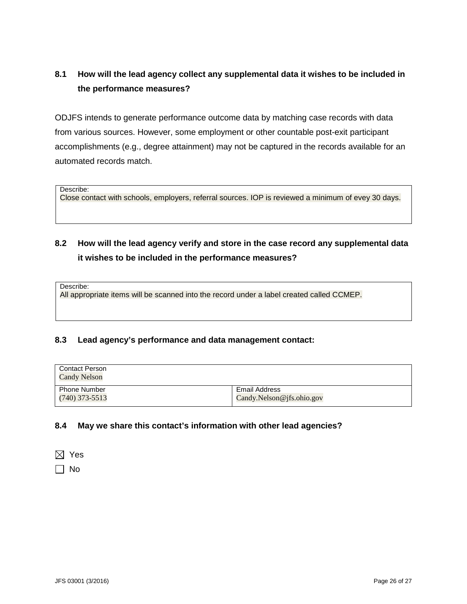# **8.1 How will the lead agency collect any supplemental data it wishes to be included in the performance measures?**

ODJFS intends to generate performance outcome data by matching case records with data from various sources. However, some employment or other countable post-exit participant accomplishments (e.g., degree attainment) may not be captured in the records available for an automated records match.

Describe:

Close contact with schools, employers, referral sources. IOP is reviewed a minimum of evey 30 days.

# **8.2 How will the lead agency verify and store in the case record any supplemental data it wishes to be included in the performance measures?**

Describe:

All appropriate items will be scanned into the record under a label created called CCMEP.

### **8.3 Lead agency's performance and data management contact:**

| <b>Contact Person</b><br><b>Candy Nelson</b> |                           |
|----------------------------------------------|---------------------------|
| <b>Phone Number</b>                          | <b>Email Address</b>      |
| $(740)$ 373-5513                             | Candy.Nelson@jfs.ohio.gov |

### **8.4 May we share this contact's information with other lead agencies?**

 $\boxtimes$  Yes

 $\Box$  No